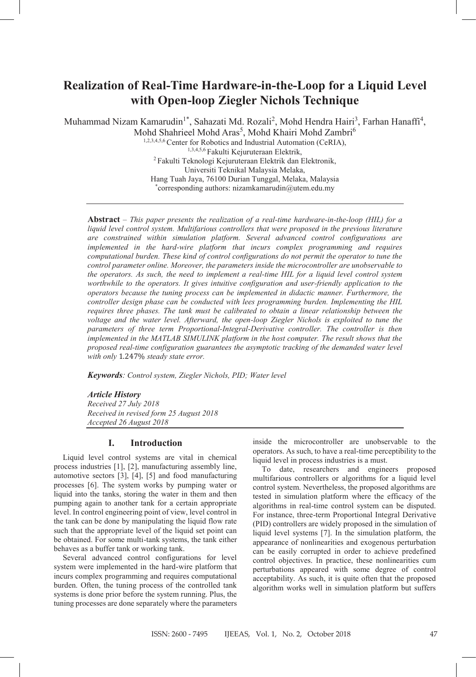# **Realization of Real-Time Hardware-in-the-Loop for a Liquid Level with Open-loop Ziegler Nichols Technique**

Muhammad Nizam Kamarudin<sup>1\*</sup>, Sahazati Md. Rozali<sup>2</sup>, Mohd Hendra Hairi<sup>3</sup>, Farhan Hanaffi<sup>4</sup>, Mohd Shahrieel Mohd Aras<sup>5</sup>, Mohd Khairi Mohd Zambri<sup>6</sup>

1,2,3,4,5,6 Center for Robotics and Industrial Automation (CeRIA), 1,3,4,5,6 Fakulti Kejuruteraan Elektrik, 2 Fakulti Teknologi Kejuruteraan Elektrik dan Elektronik, Universiti Teknikal Malaysia Melaka, Hang Tuah Jaya, 76100 Durian Tunggal, Melaka, Malaysia \* corresponding authors: nizamkamarudin@utem.edu.my

**Abstract** – *This paper presents the realization of a real-time hardware-in-the-loop (HIL) for a*  liquid level control system. Multifarious controllers that were proposed in the previous literature *are constrained within simulation platform. Several advanced control configurations are implemented in the hard-wire platform that incurs complex programming and requires computational burden. These kind of control configurations do not permit the operator to tune the control parameter online. Moreover, the parameters inside the microcontroller are unobservable to the operators. As such, the need to implement a real-time HIL for a liquid level control system*  worthwhile to the operators. It gives intuitive configuration and user-friendly application to the *operators because the tuning process can be implemented in didactic manner. Furthermore, the controller design phase can be conducted with lees programming burden. Implementing the HIL requires three phases. The tank must be calibrated to obtain a linear relationship between the voltage and the water level. Afterward, the open-loop Ziegler Nichols is exploited to tune the parameters of three term Proportional-Integral-Derivative controller. The controller is then implemented in the MATLAB SIMULINK platform in the host computer. The result shows that the proposed real-time configuration guarantees the asymptotic tracking of the demanded water level with only* 1.247% *steady state error.*

*Keywords: Control system, Ziegler Nichols, PID; Water level*

# *Article History*

*Received 27 July 2018 Received in revised form 25 August 2018 Accepted 26 August 2018*

# **I. Introduction**

Liquid level control systems are vital in chemical process industries [1], [2], manufacturing assembly line, automotive sectors [3], [4], [5] and food manufacturing processes [6]. The system works by pumping water or liquid into the tanks, storing the water in them and then pumping again to another tank for a certain appropriate level. In control engineering point of view, level control in the tank can be done by manipulating the liquid flow rate such that the appropriate level of the liquid set point can be obtained. For some multi-tank systems, the tank either behaves as a buffer tank or working tank.

Several advanced control configurations for level system were implemented in the hard-wire platform that incurs complex programming and requires computational burden. Often, the tuning process of the controlled tank systems is done prior before the system running. Plus, the tuning processes are done separately where the parameters inside the microcontroller are unobservable to the operators. As such, to have a real-time perceptibility to the liquid level in process industries is a must.

To date, researchers and engineers proposed multifarious controllers or algorithms for a liquid level control system. Nevertheless, the proposed algorithms are tested in simulation platform where the efficacy of the algorithms in real-time control system can be disputed. For instance, three-term Proportional Integral Derivative (PID) controllers are widely proposed in the simulation of liquid level systems [7]. In the simulation platform, the appearance of nonlinearities and exogenous perturbation can be easily corrupted in order to achieve predefined control objectives. In practice, these nonlinearities cum perturbations appeared with some degree of control acceptability. As such, it is quite often that the proposed algorithm works well in simulation platform but suffers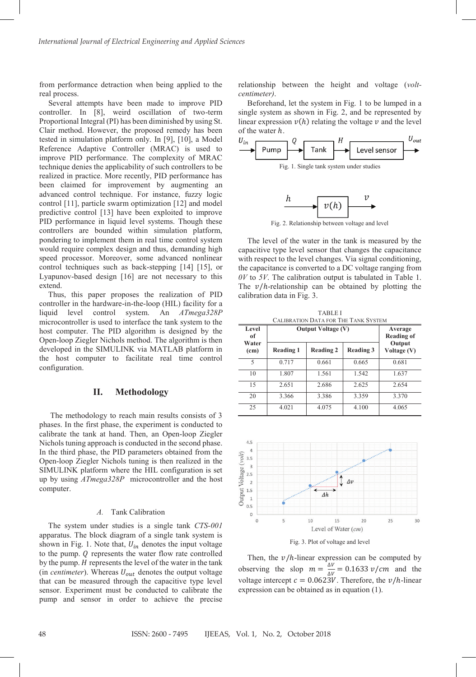from performance detraction when being applied to the real process.

Several attempts have been made to improve PID controller. In [8], weird oscillation of two-term Proportional Integral (PI) has been diminished by using St. Clair method. However, the proposed remedy has been tested in simulation platform only. In [9], [10], a Model Reference Adaptive Controller (MRAC) is used to improve PID performance. The complexity of MRAC technique denies the applicability of such controllers to be realized in practice. More recently, PID performance has been claimed for improvement by augmenting an advanced control technique. For instance, fuzzy logic control [11], particle swarm optimization [12] and model predictive control [13] have been exploited to improve PID performance in liquid level systems. Though these controllers are bounded within simulation platform, pondering to implement them in real time control system would require complex design and thus, demanding high speed processor. Moreover, some advanced nonlinear control techniques such as back-stepping [14] [15], or Lyapunov-based design [16] are not necessary to this extend.

Thus, this paper proposes the realization of PID controller in the hardware-in-the-loop (HIL) facility for a liquid level control system. An *ATmega328P*  microcontroller is used to interface the tank system to the host computer. The PID algorithm is designed by the Open-loop Ziegler Nichols method. The algorithm is then developed in the SIMULINK via MATLAB platform in the host computer to facilitate real time control configuration.

## **II. Methodology**

The methodology to reach main results consists of 3 phases. In the first phase, the experiment is conducted to calibrate the tank at hand. Then, an Open-loop Ziegler Nichols tuning approach is conducted in the second phase. In the third phase, the PID parameters obtained from the Open-loop Ziegler Nichols tuning is then realized in the SIMULINK platform where the HIL configuration is set up by using *ATmega328P* microcontroller and the host computer.

#### *A.* Tank Calibration

The system under studies is a single tank *CTS-001* apparatus. The block diagram of a single tank system is shown in Fig. 1. Note that,  $U_{in}$  denotes the input voltage to the pump.  $Q$  represents the water flow rate controlled by the pump.  $H$  represents the level of the water in the tank (in *centimeter*). Whereas  $U_{out}$  denotes the output voltage that can be measured through the capacitive type level sensor. Experiment must be conducted to calibrate the pump and sensor in order to achieve the precise relationship between the height and voltage (*voltcentimeter)*.

Beforehand, let the system in Fig. 1 to be lumped in a single system as shown in Fig. 2, and be represented by linear expression  $v(h)$  relating the voltage  $v$  and the level



Fig. 2. Relationship between voltage and level

The level of the water in the tank is measured by the capacitive type level sensor that changes the capacitance with respect to the level changes. Via signal conditioning, the capacitance is converted to a DC voltage ranging from *0V* to *5V*. The calibration output is tabulated in Table 1. The  $v/h$ -relationship can be obtained by plotting the calibration data in Fig. 3.

| <b>TABLE I</b><br><b>CALIBRATION DATA FOR THE TANK SYSTEM</b> |                           |                              |           |                       |  |  |
|---------------------------------------------------------------|---------------------------|------------------------------|-----------|-----------------------|--|--|
| Level<br>оf                                                   | <b>Output Voltage (V)</b> | Average<br><b>Reading of</b> |           |                       |  |  |
| Water<br>(c <sub>m</sub> )                                    | <b>Reading 1</b>          | <b>Reading 2</b>             | Reading 3 | Output<br>Voltage (V) |  |  |
| 5                                                             | 0.717                     | 0.661                        | 0.665     | 0.681                 |  |  |
| 10                                                            | 1.807                     | 1.561                        | 1.542     | 1.637                 |  |  |
| 15                                                            | 2.651                     | 2.686                        | 2.625     | 2.654                 |  |  |
| 20                                                            | 3.366                     | 3.386                        | 3.359     | 3.370                 |  |  |
| 25                                                            | 4.021                     | 4.075                        | 4.100     | 4.065                 |  |  |



Fig. 3. Plot of voltage and level

Then, the  $v/h$ -linear expression can be computed by observing the slop  $m = \frac{\Delta V}{\Delta V} = 0.1633 \ v/cm$  and the voltage intercept  $c = 0.0623V$ . Therefore, the  $v/h$ -linear expression can be obtained as in equation (1).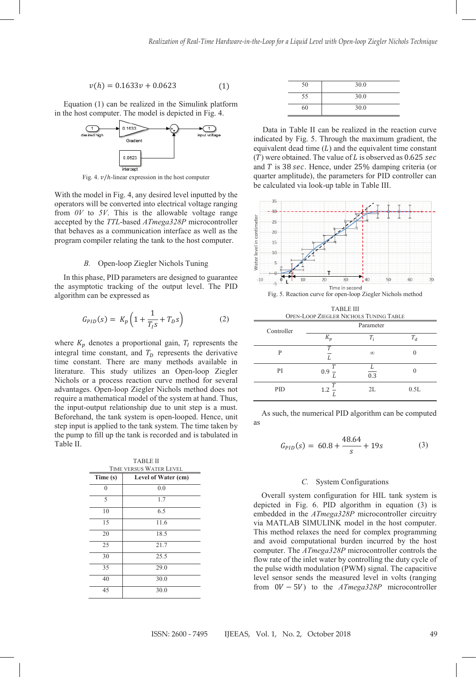$$
v(h) = 0.1633v + 0.0623\tag{1}
$$

Equation (1) can be realized in the Simulink platform in the host computer. The model is depicted in Fig. 4.



Fig. 4.  $\nu/h$ -linear expression in the host computer

With the model in Fig. 4, any desired level inputted by the operators will be converted into electrical voltage ranging from *0V* to *5V*. This is the allowable voltage range accepted by the *TTL*-based *ATmega328P* microcontroller that behaves as a communication interface as well as the program compiler relating the tank to the host computer.

## *B.* Open-loop Ziegler Nichols Tuning

In this phase, PID parameters are designed to guarantee the asymptotic tracking of the output level. The PID algorithm can be expressed as

$$
G_{PID}(s) = K_p \left( 1 + \frac{1}{T_{I} s} + T_D s \right)
$$
 (2)

where  $K_p$  denotes a proportional gain,  $T_l$  represents the integral time constant, and  $T<sub>D</sub>$  represents the derivative time constant. There are many methods available in literature. This study utilizes an Open-loop Ziegler Nichols or a process reaction curve method for several advantages. Open-loop Ziegler Nichols method does not require a mathematical model of the system at hand. Thus, the input-output relationship due to unit step is a must. Beforehand, the tank system is open-looped. Hence, unit step input is applied to the tank system. The time taken by the pump to fill up the tank is recorded and is tabulated in Table II.

| TIME VERSUS WATER LEVEL<br>Time (s)<br>Level of Water (cm) |      |  |  |
|------------------------------------------------------------|------|--|--|
|                                                            |      |  |  |
|                                                            | 0.0  |  |  |
| 5                                                          | 1.7  |  |  |
| 10                                                         | 6.5  |  |  |
| 15                                                         | 11.6 |  |  |
| 20                                                         | 18.5 |  |  |
| 25                                                         | 21.7 |  |  |
| 30                                                         | 25.5 |  |  |
| 35                                                         | 29.0 |  |  |
| 40                                                         | 30.0 |  |  |
| 45                                                         | 30.0 |  |  |

| 50 | 30.0 |
|----|------|
| 55 | 30.0 |
| 60 | 30.0 |

Data in Table II can be realized in the reaction curve indicated by Fig. 5. Through the maximum gradient, the equivalent dead time  $(L)$  and the equivalent time constant  $(T)$  were obtained. The value of L is observed as 0.625 sec and  $T$  is 38 sec. Hence, under 25% damping criteria (or quarter amplitude), the parameters for PID controller can be calculated via look-up table in Table III.





TABLE III OPEN-LOOP ZIEGLER NICHOLS TUNING TABLE

| Controller | Parameter           |          |         |
|------------|---------------------|----------|---------|
|            | $K_n$               | $T_i$    | $T_{d}$ |
| P          | $\tau$              | $\infty$ |         |
| PI         | $\mathbf{r}$<br>0.9 | 0.3      |         |
| PID        | $\tau$<br>$1.2 -$   | 2L       | 0.5L    |

As such, the numerical PID algorithm can be computed as

$$
G_{PID}(s) = 60.8 + \frac{48.64}{s} + 19s \tag{3}
$$

# *C.* System Configurations

Overall system configuration for HIL tank system is depicted in Fig. 6. PID algorithm in equation (3) is embedded in the *ATmega328P* microcontroller circuitry via MATLAB SIMULINK model in the host computer. This method relaxes the need for complex programming and avoid computational burden incurred by the host computer. The *ATmega328P* microcontroller controls the flow rate of the inlet water by controlling the duty cycle of the pulse width modulation (PWM) signal. The capacitive level sensor sends the measured level in volts (ranging from 0V − 5V) to the *ATmega328P* microcontroller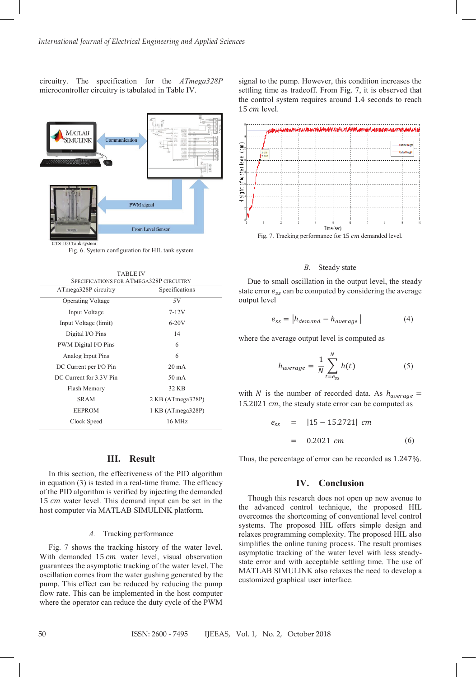circuitry. The specification for the *ATmega328P*  microcontroller circuitry is tabulated in Table IV.



S-100 Tank system

Fig. 6. System configuration for HIL tank system

TABLE IV

| LABLE IV<br>SPECIFICATIONS FOR ATMEGA328P CIRCUITRY |                   |  |  |  |
|-----------------------------------------------------|-------------------|--|--|--|
| ATmega328P circuitry                                | Specifications    |  |  |  |
| <b>Operating Voltage</b>                            | 5V                |  |  |  |
| Input Voltage                                       | $7 - 12V$         |  |  |  |
| Input Voltage (limit)                               | $6-20V$           |  |  |  |
| Digital I/O Pins                                    | 14                |  |  |  |
| PWM Digital I/O Pins                                | 6                 |  |  |  |
| Analog Input Pins                                   | 6                 |  |  |  |
| DC Current per I/O Pin                              | $20 \text{ mA}$   |  |  |  |
| DC Current for 3.3V Pin                             | $50 \text{ mA}$   |  |  |  |
| Flash Memory                                        | 32 KB             |  |  |  |
| <b>SRAM</b>                                         | 2 KB (ATmega328P) |  |  |  |
| <b>EEPROM</b>                                       | 1 KB (ATmega328P) |  |  |  |
| Clock Speed                                         | 16 MHz            |  |  |  |

# **III. Result**

In this section, the effectiveness of the PID algorithm in equation (3) is tested in a real-time frame. The efficacy of the PID algorithm is verified by injecting the demanded 15  $cm$  water level. This demand input can be set in the host computer via MATLAB SIMULINK platform.

#### *A.* Tracking performance

Fig. 7 shows the tracking history of the water level. With demanded 15 cm water level, visual observation guarantees the asymptotic tracking of the water level. The oscillation comes from the water gushing generated by the pump. This effect can be reduced by reducing the pump flow rate. This can be implemented in the host computer where the operator can reduce the duty cycle of the PWM signal to the pump. However, this condition increases the settling time as tradeoff. From Fig. 7, it is observed that the control system requires around 1.4 seconds to reach  $15$   $cm$  level.



Fig. 7. Tracking performance for 15 cm demanded level.

## *B.* Steady state

Due to small oscillation in the output level, the steady state error  $e_{ss}$  can be computed by considering the average output level

$$
e_{ss} = |h_{demand} - h_{average}|
$$
 (4)

where the average output level is computed as

$$
h_{average} = \frac{1}{N} \sum_{t = e_{ss}}^{N} h(t)
$$
 (5)

with N is the number of recorded data. As  $h_{average}$  = 15.2021  $cm$ , the steady state error can be computed as

$$
e_{ss} = |15 - 15.2721| \, cm
$$
  
= 0.2021 \, cm \t\t(6)

Thus, the percentage of error can be recorded as 1.247%.

# **IV. Conclusion**

Though this research does not open up new avenue to the advanced control technique, the proposed HIL overcomes the shortcoming of conventional level control systems. The proposed HIL offers simple design and relaxes programming complexity. The proposed HIL also simplifies the online tuning process. The result promises asymptotic tracking of the water level with less steadystate error and with acceptable settling time. The use of MATLAB SIMULINK also relaxes the need to develop a customized graphical user interface.